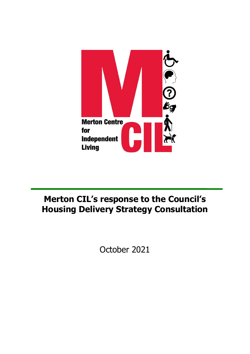

## **Merton CIL's response to the Council's Housing Delivery Strategy Consultation**

October 2021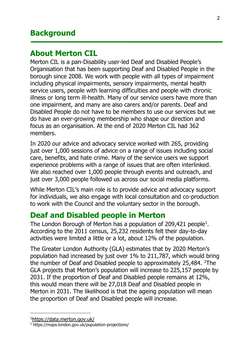#### **Background**

#### **About Merton CIL**

Merton CIL is a pan-Disability user-led Deaf and Disabled People's Organisation that has been supporting Deaf and Disabled People in the borough since 2008. We work with people with all types of impairment including physical impairments, sensory impairments, mental health service users, people with learning difficulties and people with chronic illness or long term ill-health. Many of our service users have more than one impairment, and many are also carers and/or parents. Deaf and Disabled People do not have to be members to use our services but we do have an ever-growing membership who shape our direction and focus as an organisation. At the end of 2020 Merton CIL had 362 members.

In 2020 our advice and advocacy service worked with 265, providing just over 1,000 sessions of advice on a range of issues including social care, benefits, and hate crime. Many of the service users we support experience problems with a range of issues that are often interlinked. We also reached over 1,000 people through events and outreach, and just over 3,000 people followed us across our social media platforms.

While Merton CIL's main role is to provide advice and advocacy support for individuals, we also engage with local consultation and co-production to work with the Council and the voluntary sector in the borough.

#### **Deaf and Disabled people in Merton**

The London Borough of Merton has a population of 209,421 people<sup>1</sup>. According to the 2011 census, 25,232 residents felt their day-to-day activities were limited a little or a lot, about 12% of the population.

The Greater London Authority (GLA) estimates that by 2020 Merton's population had increased by just over 1% to 211,787, which would bring the number of Deaf and Disabled people to approximately 25,484. <sup>2</sup>The GLA projects that Merton's population will increase to 225,157 people by 2031. If the proportion of Deaf and Disabled people remains at 12%, this would mean there will be 27,018 Deaf and Disabled people in Merton in 2031. The likelihood is that the ageing population will mean the proportion of Deaf and Disabled people will increase.

<sup>1</sup><https://data.merton.gov.uk/>

<sup>&</sup>lt;sup>2</sup> https://maps.london.gov.uk/population-projections/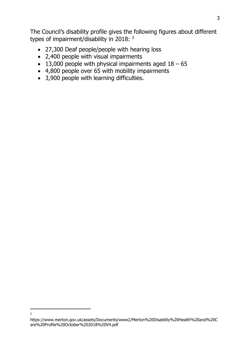The Council's disability profile gives the following figures about different types of impairment/disability in 2018: <sup>3</sup>

- 27,300 Deaf people/people with hearing loss
- 2,400 people with visual impairments
- 13,000 people with physical impairments aged  $18 65$
- 4,800 people over 65 with mobility impairments
- 3,900 people with learning difficulties.

3

https://www.merton.gov.uk/assets/Documents/www2/Merton%20Disability%20Health%20and%20C are%20Profile%20October%202018%20V4.pdf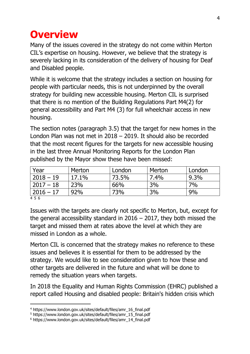## **Overview**

Many of the issues covered in the strategy do not come within Merton CIL's expertise on housing. However, we believe that the strategy is severely lacking in its consideration of the delivery of housing for Deaf and Disabled people.

While it is welcome that the strategy includes a section on housing for people with particular needs, this is not underpinned by the overall strategy for building new accessible housing. Merton CIL is surprised that there is no mention of the Building Regulations Part M4(2) for general accessibility and Part M4 (3) for full wheelchair access in new housing.

The section notes (paragraph 3.5) that the target for new homes in the London Plan was not met in 2018 – 2019. It should also be recorded that the most recent figures for the targets for new accessible housing in the last three Annual Monitoring Reports for the London Plan published by the Mayor show these have been missed:

| $9.3\%$ |
|---------|
|         |
| 7%      |
| 9%      |
|         |

4 5 6

Issues with the targets are clearly not specific to Merton, but, except for the general accessibility standard in  $2016 - 2017$ , they both missed the target and missed them at rates above the level at which they are missed in London as a whole.

Merton CIL is concerned that the strategy makes no reference to these issues and believes it is essential for them to be addressed by the strategy. We would like to see consideration given to how these and other targets are delivered in the future and what will be done to remedy the situation years when targets.

In 2018 the Equality and Human Rights Commission (EHRC) published a report called Housing and disabled people: Britain's hidden crisis which

<sup>4</sup> https://www.london.gov.uk/sites/default/files/amr\_16\_final.pdf

<sup>5</sup> https://www.london.gov.uk/sites/default/files/amr\_15\_final.pdf

<sup>6</sup> https://www.london.gov.uk/sites/default/files/amr\_14\_final.pdf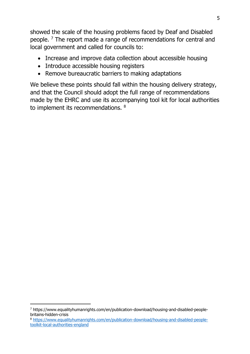showed the scale of the housing problems faced by Deaf and Disabled people. <sup>7</sup> The report made a range of recommendations for central and local government and called for councils to:

- Increase and improve data collection about accessible housing
- Introduce accessible housing registers
- Remove bureaucratic barriers to making adaptations

We believe these points should fall within the housing delivery strategy, and that the Council should adopt the full range of recommendations made by the EHRC and use its accompanying tool kit for local authorities to implement its recommendations. <sup>8</sup>

<sup>7</sup> https://www.equalityhumanrights.com/en/publication-download/housing-and-disabled-peoplebritains-hidden-crisis

<sup>8</sup> [https://www.equalityhumanrights.com/en/publication-download/housing-and-disabled-people](https://www.equalityhumanrights.com/en/publication-download/housing-and-disabled-people-toolkit-local-authorities-england)[toolkit-local-authorities-england](https://www.equalityhumanrights.com/en/publication-download/housing-and-disabled-people-toolkit-local-authorities-england)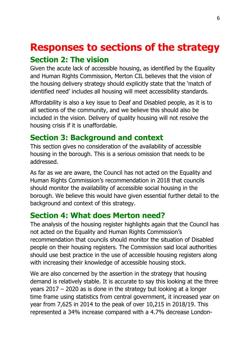# **Responses to sections of the strategy**

## **Section 2: The vision**

Given the acute lack of accessible housing, as identified by the Equality and Human Rights Commission, Merton CIL believes that the vision of the housing delivery strategy should explicitly state that the 'match of identified need' includes all housing will meet accessibility standards.

Affordability is also a key issue to Deaf and Disabled people, as it is to all sections of the community, and we believe this should also be included in the vision. Delivery of quality housing will not resolve the housing crisis if it is unaffordable.

## **Section 3: Background and context**

This section gives no consideration of the availability of accessible housing in the borough. This is a serious omission that needs to be addressed.

As far as we are aware, the Council has not acted on the Equality and Human Rights Commission's recommendation in 2018 that councils should monitor the availability of accessible social housing in the borough. We believe this would have given essential further detail to the background and context of this strategy.

## **Section 4: What does Merton need?**

The analysis of the housing register highlights again that the Council has not acted on the Equality and Human Rights Commission's recommendation that councils should monitor the situation of Disabled people on their housing registers. The Commission said local authorities should use best practice in the use of accessible housing registers along with increasing their knowledge of accessible housing stock.

We are also concerned by the assertion in the strategy that housing demand is relatively stable. It is accurate to say this looking at the three years 2017 – 2020 as is done in the strategy but looking at a longer time frame using statistics from central government, it increased year on year from 7,625 in 2014 to the peak of over 10,215 in 2018/19. This represented a 34% increase compared with a 4.7% decrease London-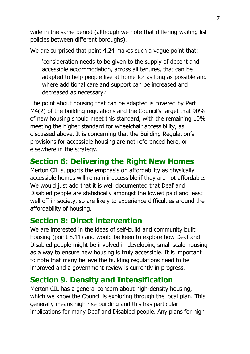wide in the same period (although we note that differing waiting list policies between different boroughs).

We are surprised that point 4.24 makes such a vague point that:

'consideration needs to be given to the supply of decent and accessible accommodation, across all tenures, that can be adapted to help people live at home for as long as possible and where additional care and support can be increased and decreased as necessary.'

The point about housing that can be adapted is covered by Part M4(2) of the building regulations and the Council's target that 90% of new housing should meet this standard, with the remaining 10% meeting the higher standard for wheelchair accessibility, as discussed above. It is concerning that the Building Regulation's provisions for accessible housing are not referenced here, or elsewhere in the strategy.

#### **Section 6: Delivering the Right New Homes**

Merton CIL supports the emphasis on affordability as physically accessible homes will remain inaccessible if they are not affordable. We would just add that it is well documented that Deaf and Disabled people are statistically amongst the lowest paid and least well off in society, so are likely to experience difficulties around the affordability of housing.

#### **Section 8: Direct intervention**

We are interested in the ideas of self-build and community built housing (point 8.11) and would be keen to explore how Deaf and Disabled people might be involved in developing small scale housing as a way to ensure new housing is truly accessible. It is important to note that many believe the building regulations need to be improved and a government review is currently in progress.

## **Section 9. Density and Intensification**

Merton CIL has a general concern about high-density housing, which we know the Council is exploring through the local plan. This generally means high rise building and this has particular implications for many Deaf and Disabled people. Any plans for high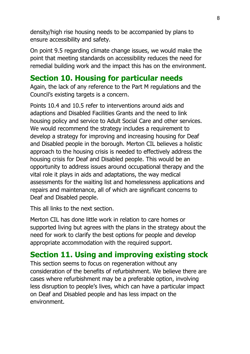density/high rise housing needs to be accompanied by plans to ensure accessibility and safety.

On point 9.5 regarding climate change issues, we would make the point that meeting standards on accessibility reduces the need for remedial building work and the impact this has on the environment.

#### **Section 10. Housing for particular needs**

Again, the lack of any reference to the Part M regulations and the Council's existing targets is a concern.

Points 10.4 and 10.5 refer to interventions around aids and adaptions and Disabled Facilities Grants and the need to link housing policy and service to Adult Social Care and other services. We would recommend the strategy includes a requirement to develop a strategy for improving and increasing housing for Deaf and Disabled people in the borough. Merton CIL believes a holistic approach to the housing crisis is needed to effectively address the housing crisis for Deaf and Disabled people. This would be an opportunity to address issues around occupational therapy and the vital role it plays in aids and adaptations, the way medical assessments for the waiting list and homelessness applications and repairs and maintenance, all of which are significant concerns to Deaf and Disabled people.

This all links to the next section.

Merton CIL has done little work in relation to care homes or supported living but agrees with the plans in the strategy about the need for work to clarify the best options for people and develop appropriate accommodation with the required support.

## **Section 11. Using and improving existing stock**

This section seems to focus on regeneration without any consideration of the benefits of refurbishment. We believe there are cases where refurbishment may be a preferable option, involving less disruption to people's lives, which can have a particular impact on Deaf and Disabled people and has less impact on the environment.